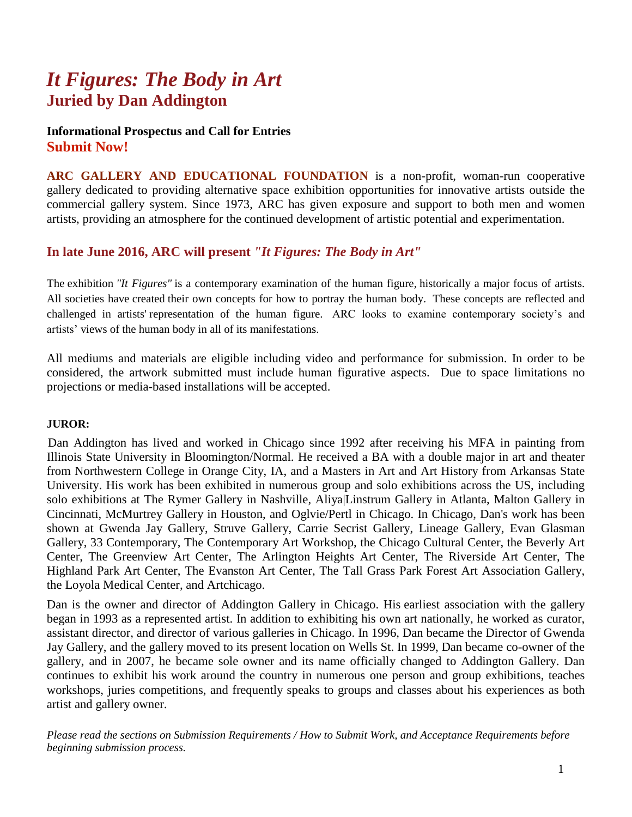# *It Figures: The Body in Art* **Juried by Dan Addington**

#### **Informational Prospectus and Call for Entries Submit Now!**

**ARC GALLERY AND EDUCATIONAL FOUNDATION** is a non-profit, woman-run cooperative gallery dedicated to providing alternative space exhibition opportunities for innovative artists outside the commercial gallery system. Since 1973, ARC has given exposure and support to both men and women artists, providing an atmosphere for the continued development of artistic potential and experimentation.

## **In late June 2016, ARC will present** *"It Figures: The Body in Art"*

The exhibition *"It Figures"* is a contemporary examination of the human figure, historically a major focus of artists. All societies have created their own concepts for how to portray the human body. These concepts are reflected and challenged in artists' representation of the human figure. ARC looks to examine contemporary society's and artists' views of the human body in all of its manifestations.

All mediums and materials are eligible including video and performance for submission. In order to be considered, the artwork submitted must include human figurative aspects. Due to space limitations no projections or media-based installations will be accepted.

#### **JUROR:**

Dan Addington has lived and worked in Chicago since 1992 after receiving his MFA in painting from Illinois State University in Bloomington/Normal. He received a BA with a double major in art and theater from Northwestern College in Orange City, IA, and a Masters in Art and Art History from Arkansas State University. His work has been exhibited in numerous group and solo exhibitions across the US, including solo exhibitions at The Rymer Gallery in Nashville, Aliya|Linstrum Gallery in Atlanta, Malton Gallery in Cincinnati, McMurtrey Gallery in Houston, and Oglvie/Pertl in Chicago. In Chicago, Dan's work has been shown at Gwenda Jay Gallery, Struve Gallery, Carrie Secrist Gallery, Lineage Gallery, Evan Glasman Gallery, 33 Contemporary, The Contemporary Art Workshop, the Chicago Cultural Center, the Beverly Art Center, The Greenview Art Center, The Arlington Heights Art Center, The Riverside Art Center, The Highland Park Art Center, The Evanston Art Center, The Tall Grass Park Forest Art Association Gallery, the Loyola Medical Center, and Artchicago.

Dan is the owner and director of Addington Gallery in Chicago. His earliest association with the gallery began in 1993 as a represented artist. In addition to exhibiting his own art nationally, he worked as curator, assistant director, and director of various galleries in Chicago. In 1996, Dan became the Director of Gwenda Jay Gallery, and the gallery moved to its present location on Wells St. In 1999, Dan became co-owner of the gallery, and in 2007, he became sole owner and its name officially changed to Addington Gallery. Dan continues to exhibit his work around the country in numerous one person and group exhibitions, teaches workshops, juries competitions, and frequently speaks to groups and classes about his experiences as both artist and gallery owner.

*Please read the sections on Submission Requirements / How to Submit Work, and Acceptance Requirements before beginning submission process.*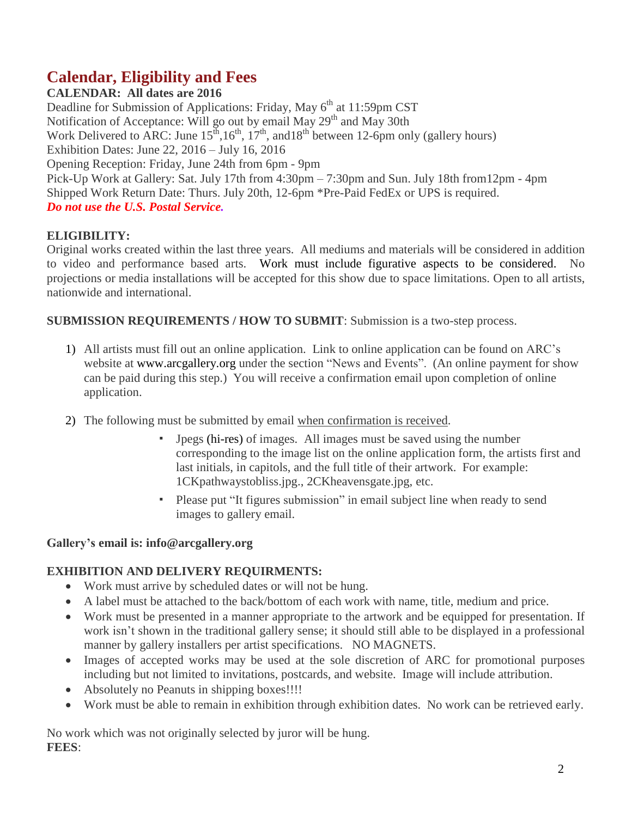# **Calendar, Eligibility and Fees**

**CALENDAR: All dates are 2016** Deadline for Submission of Applications: Friday, May 6<sup>th</sup> at 11:59pm CST Notification of Acceptance: Will go out by email May  $29<sup>th</sup>$  and May 30th Work Delivered to ARC: June  $15^{th}$ ,  $16^{th}$ ,  $17^{th}$ , and  $18^{th}$  between 12-6pm only (gallery hours) Exhibition Dates: June 22, 2016 – July 16, 2016 Opening Reception: Friday, June 24th from 6pm - 9pm Pick-Up Work at Gallery: Sat. July 17th from 4:30pm – 7:30pm and Sun. July 18th from12pm - 4pm Shipped Work Return Date: Thurs. July 20th, 12-6pm \*Pre-Paid FedEx or UPS is required. *Do not use the U.S. Postal Service.*

# **ELIGIBILITY:**

Original works created within the last three years. All mediums and materials will be considered in addition to video and performance based arts. Work must include figurative aspects to be considered. No projections or media installations will be accepted for this show due to space limitations. Open to all artists, nationwide and international.

**SUBMISSION REQUIREMENTS / HOW TO SUBMIT**: Submission is a two-step process.

- 1) All artists must fill out an online application. Link to online application can be found on ARC's website at www.arcgallery.org under the section "News and Events". (An online payment for show can be paid during this step.) You will receive a confirmation email upon completion of online application.
- 2) The following must be submitted by email when confirmation is received.
	- Jpegs (hi-res) of images. All images must be saved using the number corresponding to the image list on the online application form, the artists first and last initials, in capitols, and the full title of their artwork. For example: 1CKpathwaystobliss.jpg., 2CKheavensgate.jpg, etc.
	- Please put "It figures submission" in email subject line when ready to send images to gallery email.

## **Gallery's email is: info@arcgallery.org**

## **EXHIBITION AND DELIVERY REQUIRMENTS:**

- Work must arrive by scheduled dates or will not be hung.
- A label must be attached to the back/bottom of each work with name, title, medium and price.
- Work must be presented in a manner appropriate to the artwork and be equipped for presentation. If work isn't shown in the traditional gallery sense; it should still able to be displayed in a professional manner by gallery installers per artist specifications.NO MAGNETS.
- Images of accepted works may be used at the sole discretion of ARC for promotional purposes including but not limited to invitations, postcards, and website. Image will include attribution.
- Absolutely no Peanuts in shipping boxes!!!!
- Work must be able to remain in exhibition through exhibition dates. No work can be retrieved early.

No work which was not originally selected by juror will be hung. **FEES**: